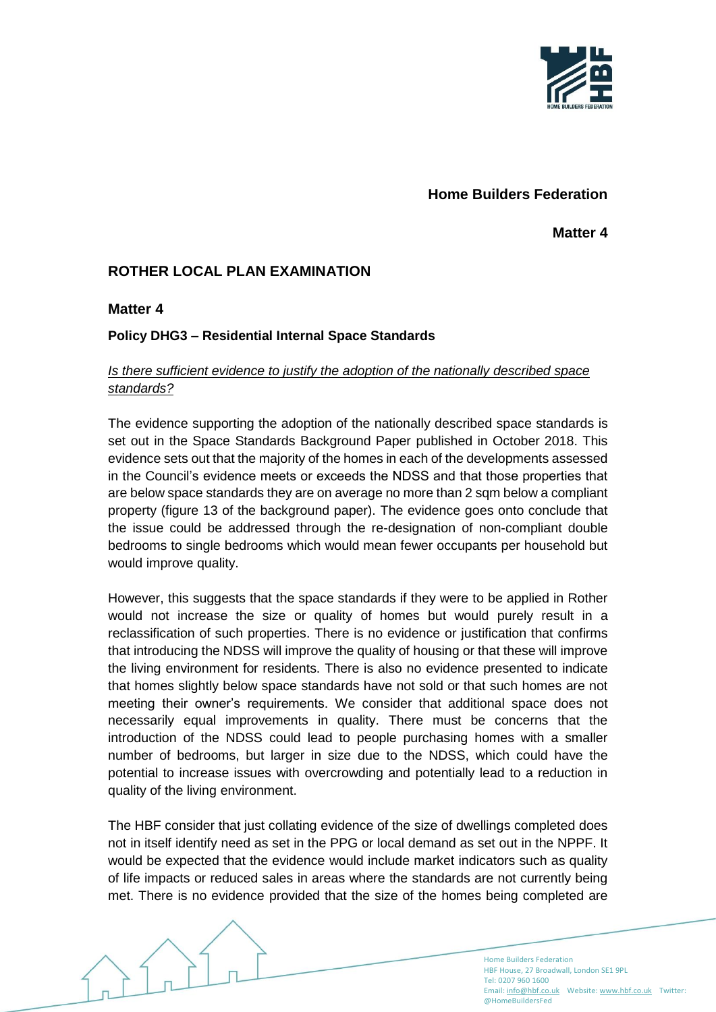

# **Home Builders Federation**

**Matter 4**

# **ROTHER LOCAL PLAN EXAMINATION**

### **Matter 4**

### **Policy DHG3 – Residential Internal Space Standards**

### *Is there sufficient evidence to justify the adoption of the nationally described space standards?*

The evidence supporting the adoption of the nationally described space standards is set out in the Space Standards Background Paper published in October 2018. This evidence sets out that the majority of the homes in each of the developments assessed in the Council's evidence meets or exceeds the NDSS and that those properties that are below space standards they are on average no more than 2 sqm below a compliant property (figure 13 of the background paper). The evidence goes onto conclude that the issue could be addressed through the re-designation of non-compliant double bedrooms to single bedrooms which would mean fewer occupants per household but would improve quality.

However, this suggests that the space standards if they were to be applied in Rother would not increase the size or quality of homes but would purely result in a reclassification of such properties. There is no evidence or justification that confirms that introducing the NDSS will improve the quality of housing or that these will improve the living environment for residents. There is also no evidence presented to indicate that homes slightly below space standards have not sold or that such homes are not meeting their owner's requirements. We consider that additional space does not necessarily equal improvements in quality. There must be concerns that the introduction of the NDSS could lead to people purchasing homes with a smaller number of bedrooms, but larger in size due to the NDSS, which could have the potential to increase issues with overcrowding and potentially lead to a reduction in quality of the living environment.

The HBF consider that just collating evidence of the size of dwellings completed does not in itself identify need as set in the PPG or local demand as set out in the NPPF. It would be expected that the evidence would include market indicators such as quality of life impacts or reduced sales in areas where the standards are not currently being met. There is no evidence provided that the size of the homes being completed are

> Home Builders Federation HBF House, 27 Broadwall, London SE1 9PL Tel: 0207 960 1600 Email[: info@hbf.co.uk](mailto:info@hbf.co.uk) Website[: www.hbf.co.uk](http://www.hbf.co.uk/) Twitter: @HomeBuildersFed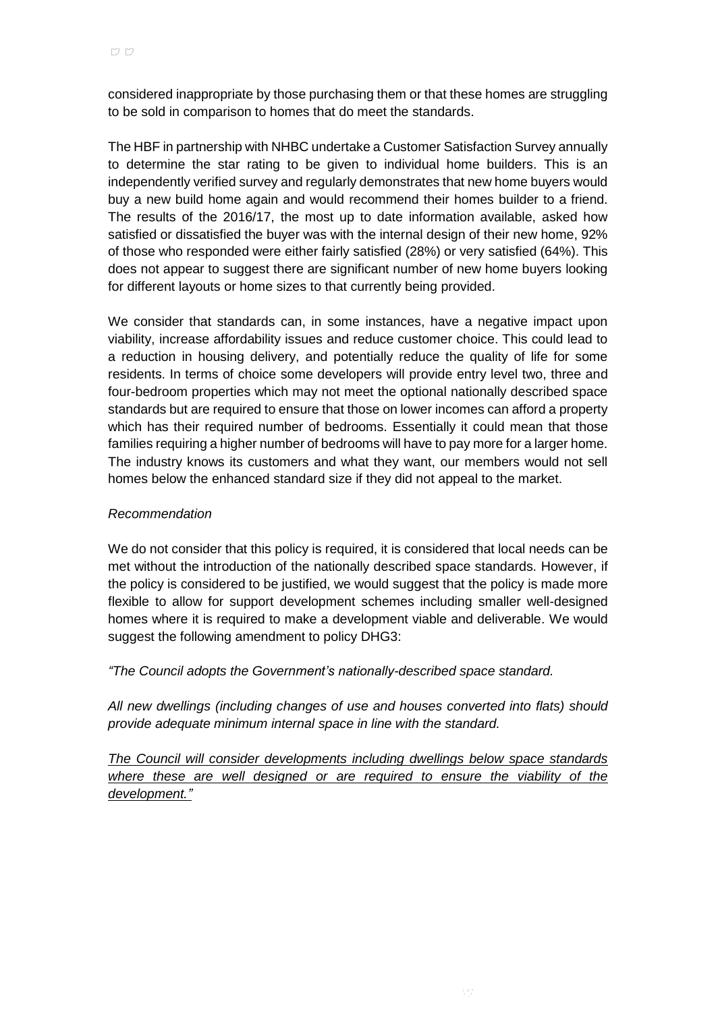considered inappropriate by those purchasing them or that these homes are struggling to be sold in comparison to homes that do meet the standards.

The HBF in partnership with NHBC undertake a Customer Satisfaction Survey annually to determine the star rating to be given to individual home builders. This is an independently verified survey and regularly demonstrates that new home buyers would buy a new build home again and would recommend their homes builder to a friend. The results of the 2016/17, the most up to date information available, asked how satisfied or dissatisfied the buyer was with the internal design of their new home, 92% of those who responded were either fairly satisfied (28%) or very satisfied (64%). This does not appear to suggest there are significant number of new home buyers looking for different layouts or home sizes to that currently being provided.

We consider that standards can, in some instances, have a negative impact upon viability, increase affordability issues and reduce customer choice. This could lead to a reduction in housing delivery, and potentially reduce the quality of life for some residents. In terms of choice some developers will provide entry level two, three and four-bedroom properties which may not meet the optional nationally described space standards but are required to ensure that those on lower incomes can afford a property which has their required number of bedrooms. Essentially it could mean that those families requiring a higher number of bedrooms will have to pay more for a larger home. The industry knows its customers and what they want, our members would not sell homes below the enhanced standard size if they did not appeal to the market.

#### *Recommendation*

We do not consider that this policy is required, it is considered that local needs can be met without the introduction of the nationally described space standards. However, if the policy is considered to be justified, we would suggest that the policy is made more flexible to allow for support development schemes including smaller well-designed homes where it is required to make a development viable and deliverable. We would suggest the following amendment to policy DHG3:

*"The Council adopts the Government's nationally-described space standard.*

*All new dwellings (including changes of use and houses converted into flats) should provide adequate minimum internal space in line with the standard.*

*The Council will consider developments including dwellings below space standards where these are well designed or are required to ensure the viability of the development."*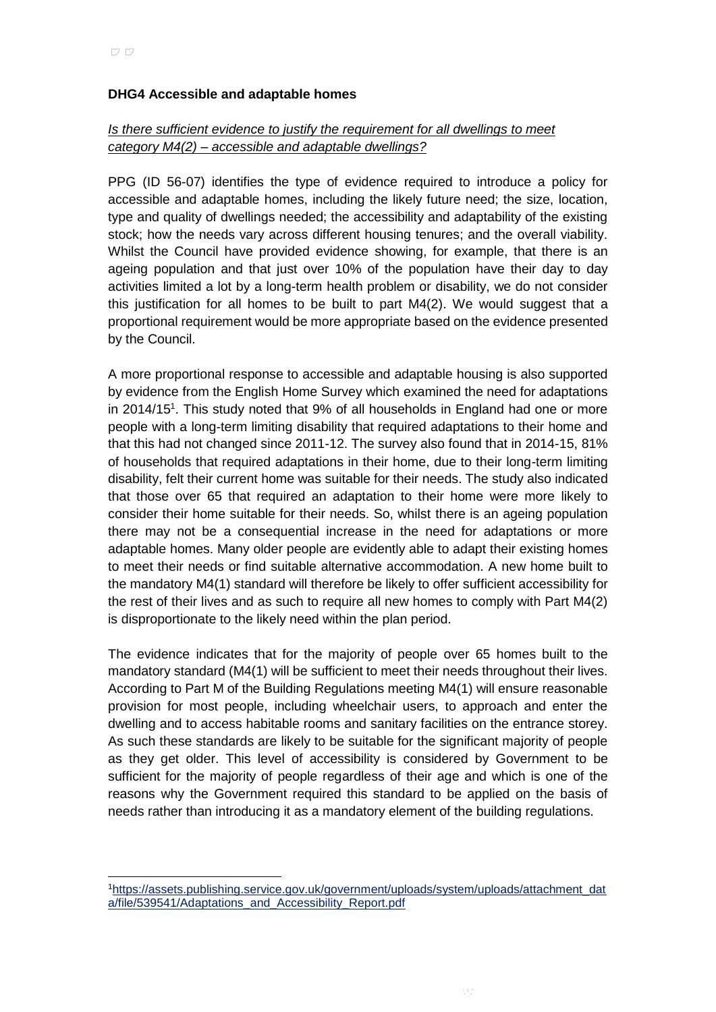#### **DHG4 Accessible and adaptable homes**

### *Is there sufficient evidence to justify the requirement for all dwellings to meet category M4(2) – accessible and adaptable dwellings?*

PPG (ID 56-07) identifies the type of evidence required to introduce a policy for accessible and adaptable homes, including the likely future need; the size, location, type and quality of dwellings needed; the accessibility and adaptability of the existing stock; how the needs vary across different housing tenures; and the overall viability. Whilst the Council have provided evidence showing, for example, that there is an ageing population and that just over 10% of the population have their day to day activities limited a lot by a long-term health problem or disability, we do not consider this justification for all homes to be built to part M4(2). We would suggest that a proportional requirement would be more appropriate based on the evidence presented by the Council.

A more proportional response to accessible and adaptable housing is also supported by evidence from the English Home Survey which examined the need for adaptations in 2014/15<sup>1</sup>. This study noted that 9% of all households in England had one or more people with a long-term limiting disability that required adaptations to their home and that this had not changed since 2011-12. The survey also found that in 2014-15, 81% of households that required adaptations in their home, due to their long-term limiting disability, felt their current home was suitable for their needs. The study also indicated that those over 65 that required an adaptation to their home were more likely to consider their home suitable for their needs. So, whilst there is an ageing population there may not be a consequential increase in the need for adaptations or more adaptable homes. Many older people are evidently able to adapt their existing homes to meet their needs or find suitable alternative accommodation. A new home built to the mandatory M4(1) standard will therefore be likely to offer sufficient accessibility for the rest of their lives and as such to require all new homes to comply with Part M4(2) is disproportionate to the likely need within the plan period.

The evidence indicates that for the majority of people over 65 homes built to the mandatory standard (M4(1) will be sufficient to meet their needs throughout their lives. According to Part M of the Building Regulations meeting M4(1) will ensure reasonable provision for most people, including wheelchair users, to approach and enter the dwelling and to access habitable rooms and sanitary facilities on the entrance storey. As such these standards are likely to be suitable for the significant majority of people as they get older. This level of accessibility is considered by Government to be sufficient for the majority of people regardless of their age and which is one of the reasons why the Government required this standard to be applied on the basis of needs rather than introducing it as a mandatory element of the building regulations.

l

<sup>1</sup>[https://assets.publishing.service.gov.uk/government/uploads/system/uploads/attachment\\_dat](https://assets.publishing.service.gov.uk/government/uploads/system/uploads/attachment_data/file/539541/Adaptations_and_Accessibility_Report.pdf) [a/file/539541/Adaptations\\_and\\_Accessibility\\_Report.pdf](https://assets.publishing.service.gov.uk/government/uploads/system/uploads/attachment_data/file/539541/Adaptations_and_Accessibility_Report.pdf)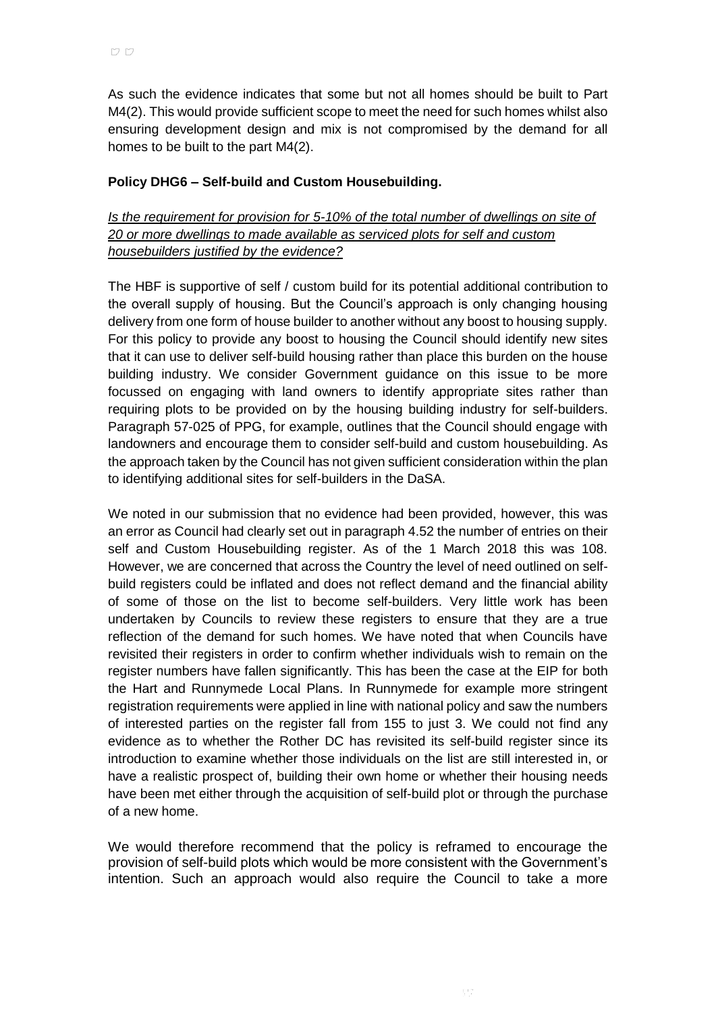As such the evidence indicates that some but not all homes should be built to Part M4(2). This would provide sufficient scope to meet the need for such homes whilst also ensuring development design and mix is not compromised by the demand for all homes to be built to the part M4(2).

### **Policy DHG6 – Self-build and Custom Housebuilding.**

*Is the requirement for provision for 5-10% of the total number of dwellings on site of 20 or more dwellings to made available as serviced plots for self and custom housebuilders justified by the evidence?* 

The HBF is supportive of self / custom build for its potential additional contribution to the overall supply of housing. But the Council's approach is only changing housing delivery from one form of house builder to another without any boost to housing supply. For this policy to provide any boost to housing the Council should identify new sites that it can use to deliver self-build housing rather than place this burden on the house building industry. We consider Government guidance on this issue to be more focussed on engaging with land owners to identify appropriate sites rather than requiring plots to be provided on by the housing building industry for self-builders. Paragraph 57-025 of PPG, for example, outlines that the Council should engage with landowners and encourage them to consider self-build and custom housebuilding. As the approach taken by the Council has not given sufficient consideration within the plan to identifying additional sites for self-builders in the DaSA.

We noted in our submission that no evidence had been provided, however, this was an error as Council had clearly set out in paragraph 4.52 the number of entries on their self and Custom Housebuilding register. As of the 1 March 2018 this was 108. However, we are concerned that across the Country the level of need outlined on selfbuild registers could be inflated and does not reflect demand and the financial ability of some of those on the list to become self-builders. Very little work has been undertaken by Councils to review these registers to ensure that they are a true reflection of the demand for such homes. We have noted that when Councils have revisited their registers in order to confirm whether individuals wish to remain on the register numbers have fallen significantly. This has been the case at the EIP for both the Hart and Runnymede Local Plans. In Runnymede for example more stringent registration requirements were applied in line with national policy and saw the numbers of interested parties on the register fall from 155 to just 3. We could not find any evidence as to whether the Rother DC has revisited its self-build register since its introduction to examine whether those individuals on the list are still interested in, or have a realistic prospect of, building their own home or whether their housing needs have been met either through the acquisition of self-build plot or through the purchase of a new home.

We would therefore recommend that the policy is reframed to encourage the provision of self-build plots which would be more consistent with the Government's intention. Such an approach would also require the Council to take a more